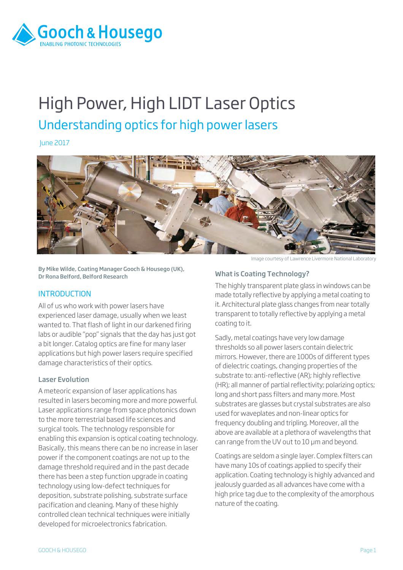

# High Power, High LIDT Laser Optics Understanding optics for high power lasers

June 2017



By Mike Wilde, Coating Manager Gooch & Housego (UK), Dr Rona Belford, Belford Research

#### **INTRODUCTION**

All of us who work with power lasers have experienced laser damage, usually when we least wanted to. That flash of light in our darkened firing labs or audible "pop" signals that the day has just got a bit longer. Catalog optics are fine for many laser applications but high power lasers require specified damage characteristics of their optics.

#### Laser Evolution

A meteoric expansion of laser applications has resulted in lasers becoming more and more powerful. Laser applications range from space photonics down to the more terrestrial based life sciences and surgical tools. The technology responsible for enabling this expansion is optical coating technology. Basically, this means there can be no increase in laser power if the component coatings are not up to the damage threshold required and in the past decade there has been a step function upgrade in coating technology using low-defect techniques for deposition, substrate polishing, substrate surface pacification and cleaning. Many of these highly controlled clean technical techniques were initially developed for microelectronics fabrication.

Image courtesy of Lawrence Livermore National Laboratory

## What is Coating Technology?

The highly transparent plate glass in windows can be made totally reflective by applying a metal coating to it. Architectural plate glass changes from near totally transparent to totally reflective by applying a metal coating to it.

Sadly, metal coatings have very low damage thresholds so all power lasers contain dielectric mirrors. However, there are 1000s of different types of dielectric coatings, changing properties of the substrate to: anti-reflective (AR); highly reflective (HR); all manner of partial reflectivity; polarizing optics; long and short pass filters and many more. Most substrates are glasses but crystal substrates are also used for waveplates and non-linear optics for frequency doubling and tripling. Moreover, all the above are available at a plethora of wavelengths that can range from the UV out to 10 µm and beyond.

Coatings are seldom a single layer. Complex filters can have many 10s of coatings applied to specify their application. Coating technology is highly advanced and jealously guarded as all advances have come with a high price tag due to the complexity of the amorphous nature of the coating.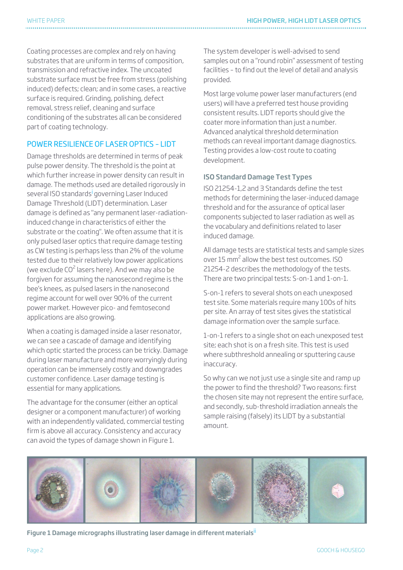Coating processes are complex and rely on having substrates that are uniform in terms of composition, transmission and refractive index. The uncoated substrate surface must be free from stress (polishing induced) defects; clean; and in some cases, a reactive surface is required. Grinding, polishing, defect removal, stress relief, cleaning and surface conditioning of the substrates all can be considered part of coating technology.

# POWER RESILIENCE OF LASER OPTICS – LIDT

Damage thresholds are determined in terms of peak pulse power density. The threshold is the point at which further increase in power density can result in damage. The methods used are detailed rigorously in several ISO standards<sup>i</sup> governing Laser Induced Damage Threshold (LIDT) determination. Laser damage is defined as "any permanent laser-radiationinduced change in characteristics of either the substrate or the coating". We often assume that it is only pulsed laser optics that require damage testing as CW testing is perhaps less than 2% of the volume tested due to their relatively low power applications (we exclude  $CO<sup>2</sup>$  lasers here). And we may also be forgiven for assuming the nanosecond regime is the bee's knees, as pulsed lasers in the nanosecond regime account for well over 90% of the current power market. However pico- and femtosecond applications are also growing.

When a coating is damaged inside a laser resonator, we can see a cascade of damage and identifying which optic started the process can be tricky. Damage during laser manufacture and more worryingly during operation can be immensely costly and downgrades customer confidence. Laser damage testing is essential for many applications.

The advantage for the consumer (either an optical designer or a component manufacturer) of working with an independently validated, commercial testing firm is above all accuracy. Consistency and accuracy can avoid the types of damage shown in Figure 1.

The system developer is well-advised to send samples out on a "round robin" assessment of testing facilities – to find out the level of detail and analysis provided.

Most large volume power laser manufacturers (end users) will have a preferred test house providing consistent results. LIDT reports should give the coater more information than just a number. Advanced analytical threshold determination methods can reveal important damage diagnostics. Testing provides a low-cost route to coating development.

## ISO Standard Damage Test Types

ISO 21254-1,2 and 3 Standards define the test methods for determining the laser-induced damage threshold and for the assurance of optical laser components subjected to laser radiation as well as the vocabulary and definitions related to laser induced damage.

All damage tests are statistical tests and sample sizes over 15 mm<sup>2</sup> allow the best test outcomes. ISO 21254-2 describes the methodology of the tests. There are two principal tests: S-on-1 and 1-on-1.

S-on-1 refers to several shots on each unexposed test site. Some materials require many 100s of hits per site. An array of test sites gives the statistical damage information over the sample surface.

1-on-1 refers to a single shot on each unexposed test site; each shot is on a fresh site. This test is used where subthreshold annealing or sputtering cause inaccuracy.

So why can we not just use a single site and ramp up the power to find the threshold? Two reasons: first the chosen site may not represent the entire surface, and secondly, sub-threshold irradiation anneals the sample raising (falsely) its LIDT by a substantial amount.



Figure 1 Damage micrographs illustrating laser damage in different materials<sup>II</sup>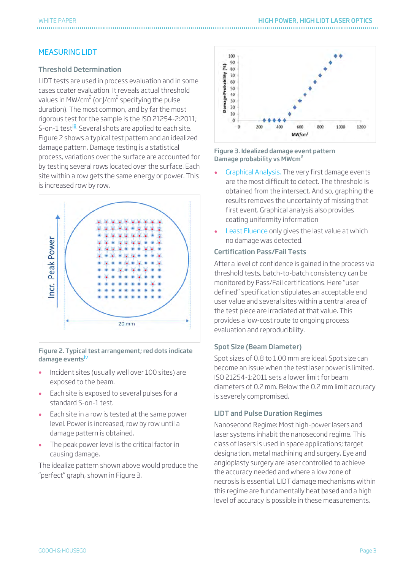# MEASURING LIDT

## Threshold Determination

LIDT tests are used in process evaluation and in some cases coater evaluation. It reveals actual threshold values in MW/cm<sup>2</sup> (or J/cm<sup>2</sup> specifying the pulse duration). The most common, and by far the most rigorous test for the sample is the ISO 21254-2:2011; S-on-1 test<sup>iii.</sup> Several shots are applied to each site. Figure 2 shows a typical test pattern and an idealized damage pattern. Damage testing is a statistical process, variations over the surface are accounted for by testing several rows located over the surface. Each site within a row gets the same energy or power. This is increased row by row.



#### Figure 2. Typical test arrangement; red dots indicate damage eventsiv

- Incident sites (usually well over 100 sites) are exposed to the beam.
- Each site is exposed to several pulses for a standard S-on-1 test.
- Each site in a row is tested at the same power level. Power is increased, row by row until a damage pattern is obtained.
- The peak power level is the critical factor in causing damage.

The idealize pattern shown above would produce the "perfect" graph, shown in Figure 3.



#### Figure 3. Idealized damage event pattern Damage probability vs MWcm<sup>2</sup>

- Graphical Analysis. The very first damage events are the most difficult to detect. The threshold is obtained from the intersect. And so, graphing the results removes the uncertainty of missing that first event. Graphical analysis also provides coating uniformity information
- Least Fluence only gives the last value at which no damage was detected.

#### Certification Pass/Fail Tests

After a level of confidence is gained in the process via threshold tests, batch-to-batch consistency can be monitored by Pass/Fail certifications. Here "user defined" specification stipulates an acceptable end user value and several sites within a central area of the test piece are irradiated at that value. This provides a low-cost route to ongoing process evaluation and reproducibility.

#### Spot Size (Beam Diameter)

Spot sizes of 0.8 to 1.00 mm are ideal. Spot size can become an issue when the test laser power is limited. ISO 21254-1:2011 sets a lower limit for beam diameters of 0.2 mm. Below the 0.2 mm limit accuracy is severely compromised.

# LIDT and Pulse Duration Regimes

Nanosecond Regime: Most high-power lasers and laser systems inhabit the nanosecond regime. This class of lasers is used in space applications; target designation, metal machining and surgery. Eye and angioplasty surgery are laser controlled to achieve the accuracy needed and where a low zone of necrosis is essential. LIDT damage mechanisms within this regime are fundamentally heat based and a high level of accuracy is possible in these measurements.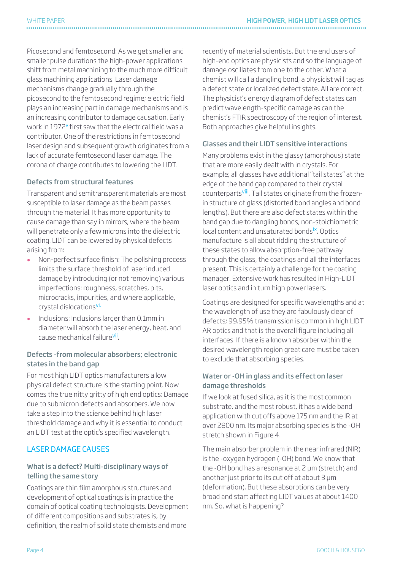Picosecond and femtosecond: As we get smaller and smaller pulse durations the high-power applications shift from metal machining to the much more difficult glass machining applications. Laser damage mechanisms change gradually through the picosecond to the femtosecond regime; electric field plays an increasing part in damage mechanisms and is an increasing contributor to damage causation. Early work in 1972<sup>v</sup> first saw that the electrical field was a contributor. One of the restrictions in femtosecond laser design and subsequent growth originates from a lack of accurate femtosecond laser damage. The corona of charge contributes to lowering the LIDT.

## Defects from structural features

Transparent and semitransparent materials are most susceptible to laser damage as the beam passes through the material. It has more opportunity to cause damage than say in mirrors, where the beam will penetrate only a few microns into the dielectric coating. LIDT can be lowered by physical defects arising from:

- Non-perfect surface finish: The polishing process limits the surface threshold of laser induced damage by introducing (or not removing) various imperfections: roughness, scratches, pits, microcracks, impurities, and where applicable, crystal dislocations<sup>vi.</sup>
- Inclusions: Inclusions larger than 0.1mm in diameter will absorb the laser energy, heat, and cause mechanical failure<sup>vii</sup>.

## Defects -from molecular absorbers; electronic states in the band gap

For most high LIDT optics manufacturers a low physical defect structure is the starting point. Now comes the true nitty gritty of high end optics: Damage due to submicron defects and absorbers. We now take a step into the science behind high laser threshold damage and why it is essential to conduct an LIDT test at the optic's specified wavelength.

# LASER DAMAGE CAUSES

#### What is a defect? Multi-disciplinary ways of telling the same story

Coatings are thin film amorphous structures and development of optical coatings is in practice the domain of optical coating technologists. Development of different compositions and substrates is, by definition, the realm of solid state chemists and more

recently of material scientists. But the end users of high-end optics are physicists and so the language of damage oscillates from one to the other. What a chemist will call a dangling bond, a physicist will tag as a defect state or localized defect state. All are correct. The physicist's energy diagram of defect states can predict wavelength-specific damage as can the chemist's FTIR spectroscopy of the region of interest. Both approaches give helpful insights.

#### Glasses and their LIDT sensitive interactions

Many problems exist in the glassy (amorphous) state that are more easily dealt with in crystals. For example; all glasses have additional "tail states" at the edge of the band gap compared to their crystal counterparts<sup>viii</sup>. Tail states originate from the frozenin structure of glass (distorted bond angles and bond lengths). But there are also defect states within the band gap due to dangling bonds, non-stoichiometric local content and unsaturated bondsix. Optics manufacture is all about ridding the structure of these states to allow absorption-free pathway through the glass, the coatings and all the interfaces present. This is certainly a challenge for the coating manager. Extensive work has resulted in High-LIDT laser optics and in turn high power lasers.

Coatings are designed for specific wavelengths and at the wavelength of use they are fabulously clear of defects; 99.95% transmission is common in high LIDT AR optics and that is the overall figure including all interfaces. If there is a known absorber within the desired wavelength region great care must be taken to exclude that absorbing species.

#### Water or -OH in glass and its effect on laser damage thresholds

If we look at fused silica, as it is the most common substrate, and the most robust, it has a wide band application with cut offs above 175 nm and the IR at over 2800 nm. Its major absorbing species is the -OH stretch shown in Figure 4.

The main absorber problem in the near infrared (NIR) is the -oxygen hydrogen (-OH) bond. We know that the -OH bond has a resonance at 2 µm (stretch) and another just prior to its cut off at about 3  $\mu$ m (deformation). But these absorptions can be very broad and start affecting LIDT values at about 1400 nm. So, what is happening?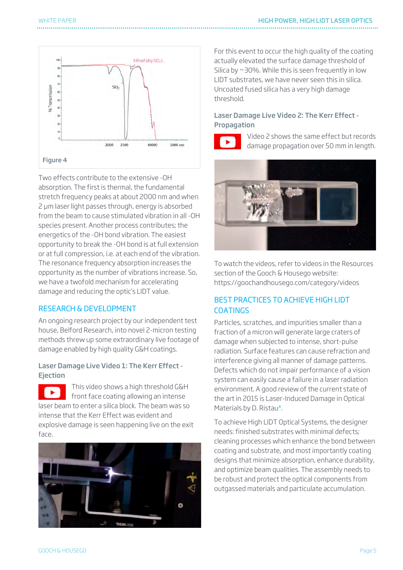

Two effects contribute to the extensive -OH absorption. The first is thermal, the fundamental stretch frequency peaks at about 2000 nm and when 2 µm laser light passes through, energy is absorbed from the beam to cause stimulated vibration in all -OH species present. Another process contributes; the energetics of the -OH bond vibration. The easiest opportunity to break the -OH bond is at full extension or at full compression, i.e. at each end of the vibration. The resonance frequency absorption increases the opportunity as the number of vibrations increase. So, we have a twofold mechanism for accelerating damage and reducing the optic's LIDT value.

#### RESEARCH & DEVELOPMENT

An ongoing research project by our independent test house, Belford Research, into novel 2-micron testing methods threw up some extraordinary live footage of damage enabled by high quality G&H coatings.

#### Laser Damage Live Video 1: The Kerr Effect - Ejection

This video shows a high threshold G&H front face coating allowing an intense laser beam to enter a silica block. The beam was so intense that the Kerr Effect was evident and [explosive damage is seen happening live on the exit](https://goochandhousego.com/laser-damage-live-video-1-kerr-effect-ejection/)  face.



For this event to occur the high quality of the coating actually elevated the surface damage threshold of Silica by ~30%. While this is seen frequently in low LIDT substrates, we have never seen this in silica. Uncoated fused silica has a very high damage threshold.

#### Laser Damage Live Video 2: The Kerr Effect - Propagation



[Video 2 shows the same effect but records](https://goochandhousego.com/laser-damage-live-video-2-kerr-effect-propagation/)  damage propagation over 50 mm in length.



To watch the videos, refer to videos in the Resources section of the Gooch & Housego website: https://goochandhousego.com/category/videos

# BEST PRACTICES TO ACHIEVE HIGH LIDT **COATINGS**

Particles, scratches, and impurities smaller than a fraction of a micron will generate large craters of damage when subjected to intense, short-pulse radiation. Surface features can cause refraction and interference giving all manner of damage patterns. Defects which do not impair performance of a vision system can easily cause a failure in a laser radiation environment. A good review of the current state of the art in 2015 is Laser-Induced Damage in Optical Materials by D. Ristau<sup>x</sup>.

To achieve High LIDT Optical Systems, the designer needs: finished substrates with minimal defects; cleaning processes which enhance the bond between coating and substrate, and most importantly coating designs that minimize absorption, enhance durability, and optimize beam qualities. The assembly needs to be robust and protect the optical components from outgassed materials and particulate accumulation.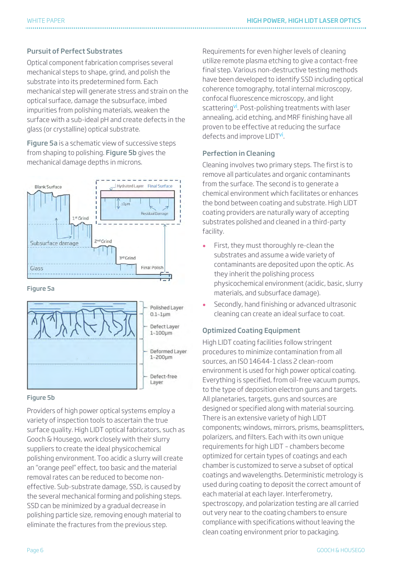#### WHITE PAPER **AND RESERVE THE PAPER OPTICS** AND MELTIC AND MELTIC AND MELTIC AND MELTIC AND MELTICS AND MELTICS AND MELTICS

## Pursuit of Perfect Substrates

Optical component fabrication comprises several mechanical steps to shape, grind, and polish the substrate into its predetermined form. Each mechanical step will generate stress and strain on the optical surface, damage the subsurface, imbed impurities from polishing materials, weaken the surface with a sub-ideal pH and create defects in the glass (or crystalline) optical substrate.

Figure 5a is a schematic view of successive steps from shaping to polishing. Figure 5b gives the mechanical damage depths in microns.



Figure 5a



#### Figure 5b

Providers of high power optical systems employ a variety of inspection tools to ascertain the true surface quality. High LIDT optical fabricators, such as Gooch & Housego, work closely with their slurry suppliers to create the ideal physicochemical polishing environment. Too acidic a slurry will create an "orange peel" effect, too basic and the material removal rates can be reduced to become noneffective. Sub-substrate damage, SSD, is caused by the several mechanical forming and polishing steps. SSD can be minimized by a gradual decrease in polishing particle size, removing enough material to eliminate the fractures from the previous step.

Requirements for even higher levels of cleaning utilize remote plasma etching to give a contact-free final step. Various non-destructive testing methods have been developed to identify SSD including optical coherence tomography, total internal microscopy, confocal fluorescence microscopy, and light scattering<sup>vi</sup>. Post-polishing treatments with laser annealing, acid etching, and MRF finishing have all proven to be effective at reducing the surface defects and improve LIDT<sup>vi</sup>.

## Perfection in Cleaning

Cleaning involves two primary steps. The first is to remove all particulates and organic contaminants from the surface. The second is to generate a chemical environment which facilitates or enhances the bond between coating and substrate. High LIDT coating providers are naturally wary of accepting substrates polished and cleaned in a third-party facility.

- First, they must thoroughly re-clean the substrates and assume a wide variety of contaminants are deposited upon the optic. As they inherit the polishing process physicochemical environment (acidic, basic, slurry materials, and subsurface damage).
- Secondly, hand finishing or advanced ultrasonic cleaning can create an ideal surface to coat.

# Optimized Coating Equipment

High LIDT coating facilities follow stringent procedures to minimize contamination from all sources, an ISO 14644-1 class 2 clean-room environment is used for high power optical coating. Everything is specified, from oil-free vacuum pumps, to the type of deposition electron guns and targets. All planetaries, targets, guns and sources are designed or specified along with material sourcing. There is an extensive variety of high LIDT components; windows, mirrors, prisms, beamsplitters, polarizers, and filters. Each with its own unique requirements for high LIDT – chambers become optimized for certain types of coatings and each chamber is customized to serve a subset of optical coatings and wavelengths. Deterministic metrology is used during coating to deposit the correct amount of each material at each layer. Interferometry, spectroscopy, and polarization testing are all carried out very near to the coating chambers to ensure compliance with specifications without leaving the clean coating environment prior to packaging.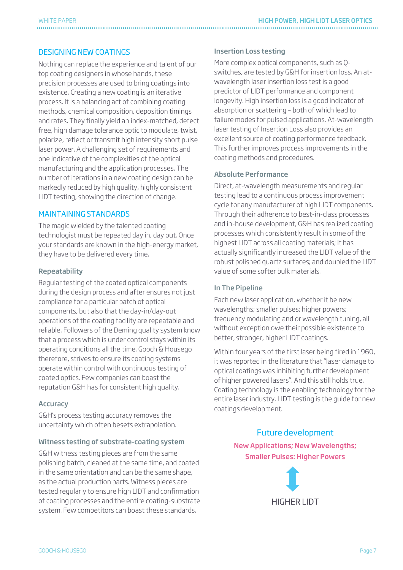# DESIGNING NEW COATINGS

Nothing can replace the experience and talent of our top coating designers in whose hands, these precision processes are used to bring coatings into existence. Creating a new coating is an iterative process. It is a balancing act of combining coating methods, chemical composition, deposition timings and rates. They finally yield an index-matched, defect free, high damage tolerance optic to modulate, twist, polarize, reflect or transmit high intensity short pulse laser power. A challenging set of requirements and one indicative of the complexities of the optical manufacturing and the application processes. The number of iterations in a new coating design can be markedly reduced by high quality, highly consistent LIDT testing, showing the direction of change.

## MAINTAINING STANDARDS

The magic wielded by the talented coating technologist must be repeated day in, day out. Once your standards are known in the high-energy market, they have to be delivered every time.

#### Repeatability

Regular testing of the coated optical components during the design process and after ensures not just compliance for a particular batch of optical components, but also that the day-in/day-out operations of the coating facility are repeatable and reliable. Followers of the Deming quality system know that a process which is under control stays within its operating conditions all the time. Gooch & Housego therefore, strives to ensure its coating systems operate within control with continuous testing of coated optics. Few companies can boast the reputation G&H has for consistent high quality.

#### Accuracy

G&H's process testing accuracy removes the uncertainty which often besets extrapolation.

#### Witness testing of substrate-coating system

G&H witness testing pieces are from the same polishing batch, cleaned at the same time, and coated in the same orientation and can be the same shape, as the actual production parts. Witness pieces are tested regularly to ensure high LIDT and confirmation of coating processes and the entire coating-substrate system. Few competitors can boast these standards.

#### Insertion Loss testing

More complex optical components, such as Qswitches, are tested by G&H for insertion loss. An atwavelength laser insertion loss test is a good predictor of LIDT performance and component longevity. High insertion loss is a good indicator of absorption or scattering – both of which lead to failure modes for pulsed applications. At-wavelength laser testing of Insertion Loss also provides an excellent source of coating performance feedback. This further improves process improvements in the coating methods and procedures.

#### Absolute Performance

Direct, at-wavelength measurements and regular testing lead to a continuous process improvement cycle for any manufacturer of high LIDT components. Through their adherence to best-in-class processes and in-house development, G&H has realized coating processes which consistently result in some of the highest LIDT across all coating materials; It has actually significantly increased the LIDT value of the robust polished quartz surfaces; and doubled the LIDT value of some softer bulk materials.

# In The Pipeline

Each new laser application, whether it be new wavelengths; smaller pulses; higher powers; frequency modulating and or wavelength tuning, all without exception owe their possible existence to better, stronger, higher LIDT coatings.

Within four years of the first laser being fired in 1960, it was reported in the literature that "laser damage to optical coatings was inhibiting further development of higher powered lasers". And this still holds true. Coating technology is the enabling technology for the entire laser industry. LIDT testing is the guide for new coatings development.

> Future development New Applications; New Wavelengths; Smaller Pulses: Higher Powers